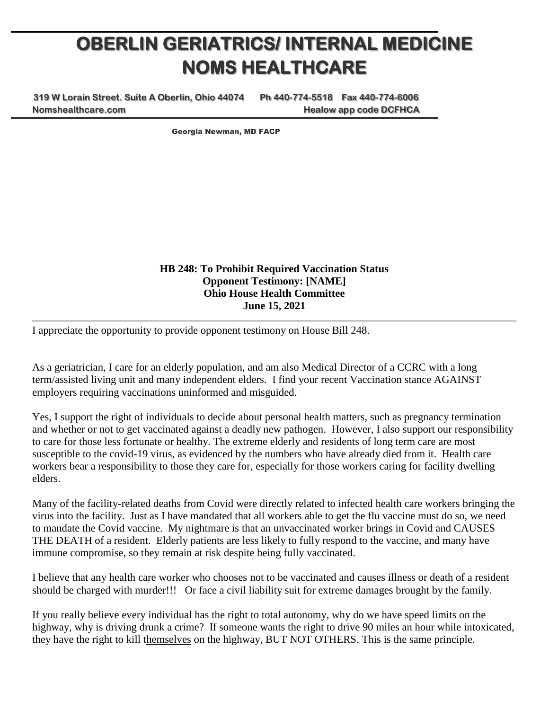## **OBERLIN GERIATRICS/ INTERNAL MEDICINE NOMS HEALTHCARE**

**319 W Lorain Street. Suite A Oberlin, Ohio 44074 Ph 440-774-5518 Fax 440-774-6006 Nomshealthcare.com Healow app code DCFHCA**

Georgia Newman, MD FACP

**HB 248: To Prohibit Required Vaccination Status Opponent Testimony: [NAME] Ohio House Health Committee June 15, 2021**

I appreciate the opportunity to provide opponent testimony on House Bill 248.

As a geriatrician, I care for an elderly population, and am also Medical Director of a CCRC with a long term/assisted living unit and many independent elders. I find your recent Vaccination stance AGAINST employers requiring vaccinations uninformed and misguided.

Yes, I support the right of individuals to decide about personal health matters, such as pregnancy termination and whether or not to get vaccinated against a deadly new pathogen. However, I also support our responsibility to care for those less fortunate or healthy. The extreme elderly and residents of long term care are most susceptible to the covid-19 virus, as evidenced by the numbers who have already died from it. Health care workers bear a responsibility to those they care for, especially for those workers caring for facility dwelling elders.

Many of the facility-related deaths from Covid were directly related to infected health care workers bringing the virus into the facility. Just as I have mandated that all workers able to get the flu vaccine must do so, we need to mandate the Covid vaccine. My nightmare is that an unvaccinated worker brings in Covid and CAUSES THE DEATH of a resident. Elderly patients are less likely to fully respond to the vaccine, and many have immune compromise, so they remain at risk despite being fully vaccinated.

I believe that any health care worker who chooses not to be vaccinated and causes illness or death of a resident should be charged with murder!!! Or face a civil liability suit for extreme damages brought by the family.

If you really believe every individual has the right to total autonomy, why do we have speed limits on the highway, why is driving drunk a crime? If someone wants the right to drive 90 miles an hour while intoxicated, they have the right to kill themselves on the highway, BUT NOT OTHERS. This is the same principle.